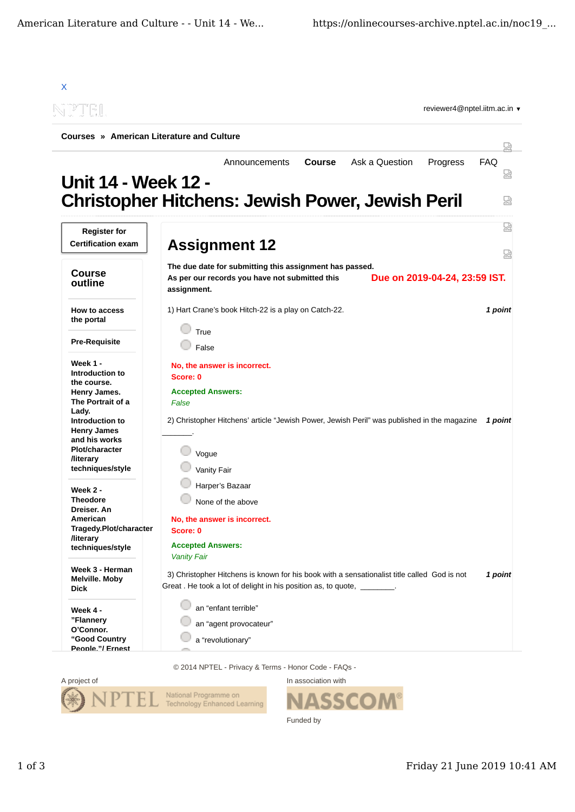| <u>IPTNEIL</u>                            | reviewer4@nptel.iitm.ac.in $\blacktriangledown$                                                                                                              |                 |
|-------------------------------------------|--------------------------------------------------------------------------------------------------------------------------------------------------------------|-----------------|
|                                           | Courses » American Literature and Culture                                                                                                                    |                 |
|                                           | Ask a Question<br><b>Course</b><br>Progress<br>Announcements                                                                                                 | 냈<br><b>FAQ</b> |
| <b>Unit 14 - Week 12 -</b>                |                                                                                                                                                              | ₽               |
|                                           | <b>Christopher Hitchens: Jewish Power, Jewish Peril</b>                                                                                                      | 덣               |
| <b>Register for</b>                       |                                                                                                                                                              | 썮               |
| <b>Certification exam</b>                 | <b>Assignment 12</b>                                                                                                                                         | 덣               |
|                                           | The due date for submitting this assignment has passed.                                                                                                      |                 |
| <b>Course</b><br>outline                  | Due on 2019-04-24, 23:59 IST.<br>As per our records you have not submitted this<br>assignment.                                                               |                 |
| How to access<br>the portal               | 1) Hart Crane's book Hitch-22 is a play on Catch-22.<br>True                                                                                                 | 1 point         |
| <b>Pre-Requisite</b>                      | False                                                                                                                                                        |                 |
| Week 1 -                                  | No, the answer is incorrect.                                                                                                                                 |                 |
| Introduction to<br>the course.            | Score: 0                                                                                                                                                     |                 |
| Henry James.                              | <b>Accepted Answers:</b>                                                                                                                                     |                 |
| The Portrait of a                         | False                                                                                                                                                        |                 |
| Lady.                                     |                                                                                                                                                              |                 |
| Introduction to<br><b>Henry James</b>     | 2) Christopher Hitchens' article "Jewish Power, Jewish Peril" was published in the magazine                                                                  | 1 point         |
| and his works                             |                                                                                                                                                              |                 |
| <b>Plot/character</b>                     | Vogue                                                                                                                                                        |                 |
| <b>/literary</b><br>techniques/style      | Vanity Fair                                                                                                                                                  |                 |
|                                           | Harper's Bazaar                                                                                                                                              |                 |
| Week 2 -<br><b>Theodore</b>               | None of the above                                                                                                                                            |                 |
| Dreiser. An<br>American                   | No, the answer is incorrect.                                                                                                                                 |                 |
| Tragedy.Plot/character                    | Score: 0                                                                                                                                                     |                 |
| <b>/literary</b><br>techniques/style      | <b>Accepted Answers:</b><br><b>Vanity Fair</b>                                                                                                               |                 |
| Week 3 - Herman<br>Melville. Moby<br>Dick | 3) Christopher Hitchens is known for his book with a sensationalist title called God is not<br>Great. He took a lot of delight in his position as, to quote, | 1 point         |
| Week 4 -                                  | an "enfant terrible"                                                                                                                                         |                 |
| "Flannery                                 | an "agent provocateur"                                                                                                                                       |                 |
| O'Connor.                                 |                                                                                                                                                              |                 |
| "Good Country                             | a "revolutionary"                                                                                                                                            |                 |

© 2014 NPTEL - Privacy & Terms - Honor Code - FAQs -



**SSCOM®** Funded by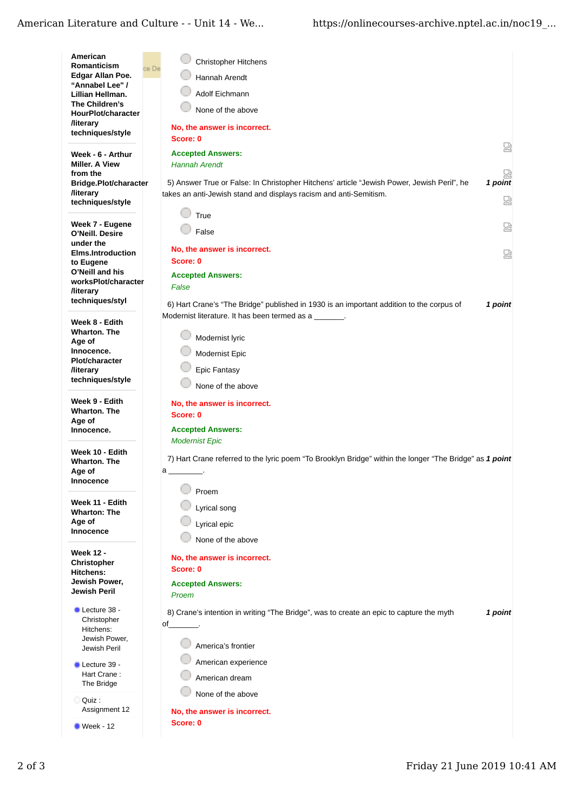## American Literature and Culture - - Unit 14 - We...

| American<br>Romanticism<br>Edgar Allan Poe.<br>"Annabel Lee" /                       | Christopher Hitchens<br>ce De<br><b>Hannah Arendt</b>                                                                                                                           |
|--------------------------------------------------------------------------------------|---------------------------------------------------------------------------------------------------------------------------------------------------------------------------------|
| Lillian Hellman.<br>The Children's<br>HourPlot/character                             | <b>Adolf Eichmann</b><br>None of the above                                                                                                                                      |
| <b>/literary</b><br>techniques/style                                                 | No, the answer is incorrect.<br>Score: 0                                                                                                                                        |
| Week - 6 - Arthur<br>Miller. A View                                                  | 쩒<br><b>Accepted Answers:</b><br><b>Hannah Arendt</b>                                                                                                                           |
| from the<br>Bridge.Plot/character<br><b>/literary</b><br>techniques/style            | 1 point<br>5) Answer True or False: In Christopher Hitchens' article "Jewish Power, Jewish Peril", he<br>takes an anti-Jewish stand and displays racism and anti-Semitism.<br>덣 |
| Week 7 - Eugene<br>O'Neill. Desire                                                   | True<br>덣<br>False                                                                                                                                                              |
| under the<br><b>Elms.Introduction</b><br>to Eugene                                   | No, the answer is incorrect.<br>덣<br>Score: 0                                                                                                                                   |
| O'Neill and his<br>worksPlot/character<br><b>/literary</b>                           | <b>Accepted Answers:</b><br>False                                                                                                                                               |
| techniques/styl<br>Week 8 - Edith                                                    | 6) Hart Crane's "The Bridge" published in 1930 is an important addition to the corpus of<br>1 point<br>Modernist literature. It has been termed as a _______.                   |
| <b>Wharton. The</b><br>Age of<br>Innocence.                                          | Modernist lyric<br>Modernist Epic                                                                                                                                               |
| <b>Plot/character</b><br><b>/literary</b><br>techniques/style                        | <b>Epic Fantasy</b><br>None of the above                                                                                                                                        |
| Week 9 - Edith<br><b>Wharton. The</b><br>Age of<br>Innocence.                        | No, the answer is incorrect.<br>Score: 0<br><b>Accepted Answers:</b>                                                                                                            |
| Week 10 - Edith<br><b>Wharton. The</b><br>Age of<br>Innocence                        | <b>Modernist Epic</b><br>7) Hart Crane referred to the lyric poem "To Brooklyn Bridge" within the longer "The Bridge" as 1 point<br>a ____________.                             |
| Week 11 - Edith<br><b>Wharton: The</b><br>Age of<br>Innocence                        | Proem<br>Lyrical song<br>Lyrical epic<br>None of the above                                                                                                                      |
| <b>Week 12 -</b><br>Christopher<br><b>Hitchens:</b><br>Jewish Power,<br>Jewish Peril | No, the answer is incorrect.<br>Score: 0<br><b>Accepted Answers:</b><br>Proem                                                                                                   |
| Lecture 38 -<br>Christopher<br>Hitchens:<br>Jewish Power,<br>Jewish Peril            | 8) Crane's intention in writing "The Bridge", was to create an epic to capture the myth<br>1 point<br>$of$ .<br>America's frontier                                              |
| Lecture 39 -<br>Hart Crane:<br>The Bridge                                            | American experience<br>American dream                                                                                                                                           |
| Quiz:<br>Assignment 12                                                               | None of the above<br>No, the answer is incorrect.                                                                                                                               |
| $Week - 12$                                                                          | Score: 0                                                                                                                                                                        |